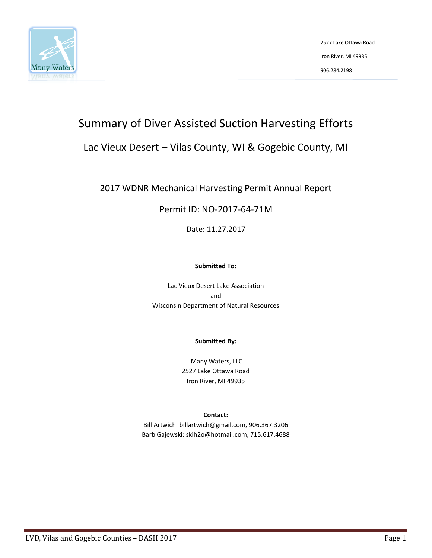

2527 Lake Ottawa Road Iron River, MI 49935 906.284.2198

# Summary of Diver Assisted Suction Harvesting Efforts

## Lac Vieux Desert – Vilas County, WI & Gogebic County, MI

## 2017 WDNR Mechanical Harvesting Permit Annual Report

## Permit ID: NO-2017-64-71M

Date: 11.27.2017

#### **Submitted To:**

Lac Vieux Desert Lake Association and Wisconsin Department of Natural Resources

#### **Submitted By:**

Many Waters, LLC 2527 Lake Ottawa Road Iron River, MI 49935

#### **Contact:**

Bill Artwich: billartwich@gmail.com, 906.367.3206 Barb Gajewski: skih2o@hotmail.com, 715.617.4688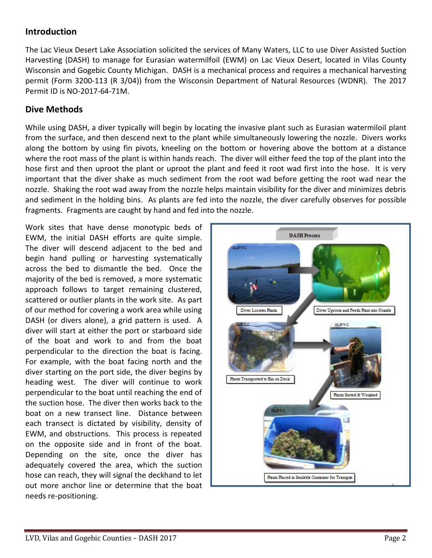## **Introduction**

The Lac Vieux Desert Lake Association solicited the services of Many Waters, LLC to use Diver Assisted Suction Harvesting (DASH) to manage for Eurasian watermilfoil (EWM) on Lac Vieux Desert, located in Vilas County Wisconsin and Gogebic County Michigan. DASH is a mechanical process and requires a mechanical harvesting permit (Form 3200-113 (R 3/04)) from the Wisconsin Department of Natural Resources (WDNR). The 2017 Permit ID is NO-2017-64-71M.

## **Dive Methods**

While using DASH, a diver typically will begin by locating the invasive plant such as Eurasian watermiloil plant from the surface, and then descend next to the plant while simultaneously lowering the nozzle. Divers works along the bottom by using fin pivots, kneeling on the bottom or hovering above the bottom at a distance where the root mass of the plant is within hands reach. The diver will either feed the top of the plant into the hose first and then uproot the plant or uproot the plant and feed it root wad first into the hose. It is very important that the diver shake as much sediment from the root wad before getting the root wad near the nozzle. Shaking the root wad away from the nozzle helps maintain visibility for the diver and minimizes debris and sediment in the holding bins. As plants are fed into the nozzle, the diver carefully observes for possible fragments. Fragments are caught by hand and fed into the nozzle.

Work sites that have dense monotypic beds of EWM, the initial DASH efforts are quite simple. The diver will descend adjacent to the bed and begin hand pulling or harvesting systematically across the bed to dismantle the bed. Once the majority of the bed is removed, a more systematic approach follows to target remaining clustered, scattered or outlier plants in the work site. As part of our method for covering a work area while using DASH (or divers alone), a grid pattern is used. A diver will start at either the port or starboard side of the boat and work to and from the boat perpendicular to the direction the boat is facing. For example, with the boat facing north and the diver starting on the port side, the diver begins by heading west. The diver will continue to work perpendicular to the boat until reaching the end of the suction hose. The diver then works back to the boat on a new transect line. Distance between each transect is dictated by visibility, density of EWM, and obstructions. This process is repeated on the opposite side and in front of the boat. Depending on the site, once the diver has adequately covered the area, which the suction hose can reach, they will signal the deckhand to let out more anchor line or determine that the boat needs re-positioning.

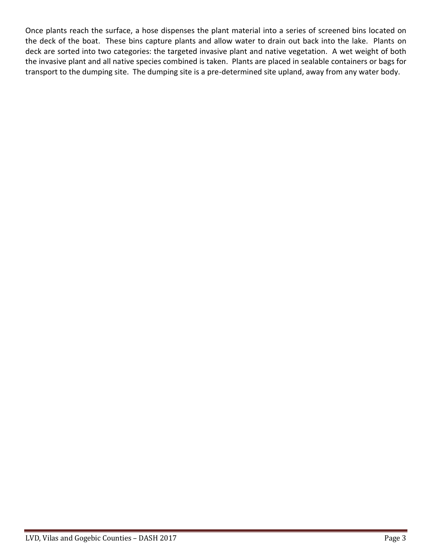Once plants reach the surface, a hose dispenses the plant material into a series of screened bins located on the deck of the boat. These bins capture plants and allow water to drain out back into the lake. Plants on deck are sorted into two categories: the targeted invasive plant and native vegetation. A wet weight of both the invasive plant and all native species combined is taken. Plants are placed in sealable containers or bags for transport to the dumping site. The dumping site is a pre-determined site upland, away from any water body.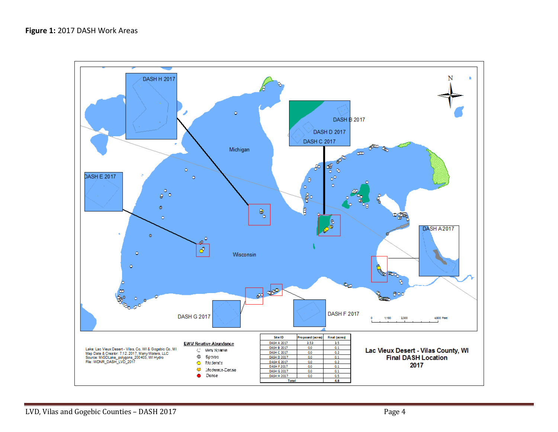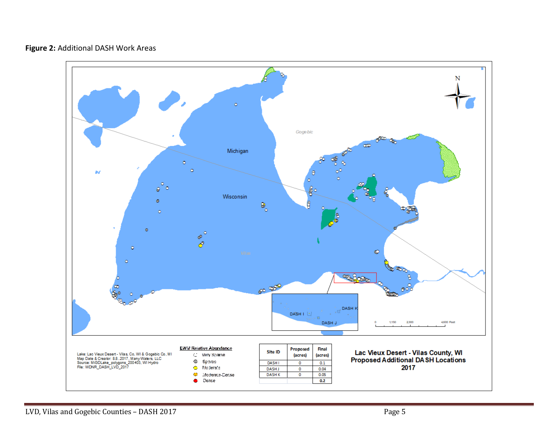### **Figure 2:** Additional DASH Work Areas

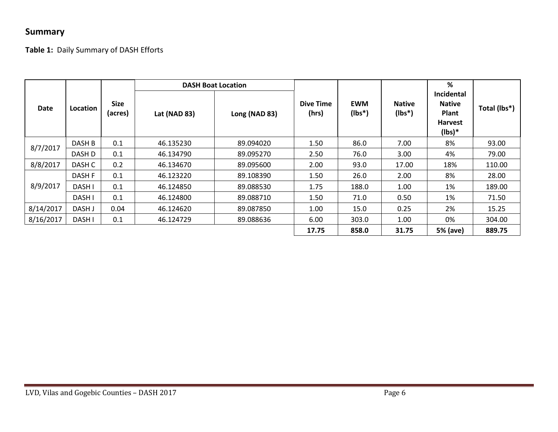## **Summary**

**Table 1:** Daily Summary of DASH Efforts

| Date      | <b>Location</b> | <b>Size</b><br>(acres) | <b>DASH Boat Location</b> |               |                    |                         |                           | %                                                                         |              |
|-----------|-----------------|------------------------|---------------------------|---------------|--------------------|-------------------------|---------------------------|---------------------------------------------------------------------------|--------------|
|           |                 |                        | Lat (NAD 83)              | Long (NAD 83) | Dive Time<br>(hrs) | <b>EWM</b><br>$(Ibs^*)$ | <b>Native</b><br>$(lbs*)$ | Incidental<br><b>Native</b><br><b>Plant</b><br><b>Harvest</b><br>$(lbs)*$ | Total (lbs*) |
| 8/7/2017  | DASH B          | 0.1                    | 46.135230                 | 89.094020     | 1.50               | 86.0                    | 7.00                      | 8%                                                                        | 93.00        |
|           | DASH D          | 0.1                    | 46.134790                 | 89.095270     | 2.50               | 76.0                    | 3.00                      | 4%                                                                        | 79.00        |
| 8/8/2017  | DASH C          | 0.2                    | 46.134670                 | 89.095600     | 2.00               | 93.0                    | 17.00                     | 18%                                                                       | 110.00       |
| 8/9/2017  | DASH F          | 0.1                    | 46.123220                 | 89.108390     | 1.50               | 26.0                    | 2.00                      | 8%                                                                        | 28.00        |
|           | DASH I          | 0.1                    | 46.124850                 | 89.088530     | 1.75               | 188.0                   | 1.00                      | 1%                                                                        | 189.00       |
|           | DASH I          | 0.1                    | 46.124800                 | 89.088710     | 1.50               | 71.0                    | 0.50                      | 1%                                                                        | 71.50        |
| 8/14/2017 | DASH J          | 0.04                   | 46.124620                 | 89.087850     | 1.00               | 15.0                    | 0.25                      | 2%                                                                        | 15.25        |
| 8/16/2017 | DASH I          | 0.1                    | 46.124729                 | 89.088636     | 6.00               | 303.0                   | 1.00                      | 0%                                                                        | 304.00       |
|           |                 |                        |                           |               | 17.75              | 858.0                   | 31.75                     | 5% (ave)                                                                  | 889.75       |